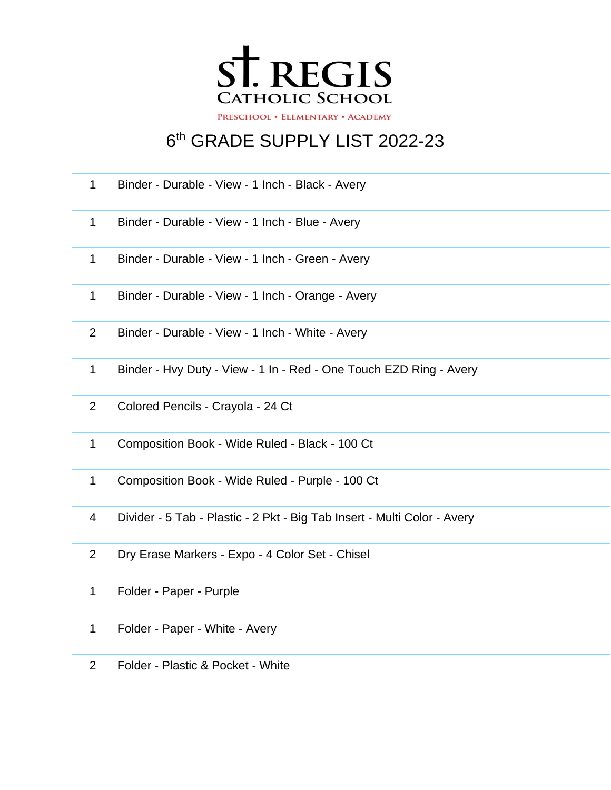

## th GRADE SUPPLY LIST 2022-23

- Binder Durable View 1 Inch Black Avery
- Binder Durable View 1 Inch Blue Avery
- Binder Durable View 1 Inch Green Avery
- Binder Durable View 1 Inch Orange Avery
- Binder Durable View 1 Inch White Avery
- Binder Hvy Duty View 1 In Red One Touch EZD Ring Avery
- Colored Pencils Crayola 24 Ct
- Composition Book Wide Ruled Black 100 Ct
- Composition Book Wide Ruled Purple 100 Ct
- Divider 5 Tab Plastic 2 Pkt Big Tab Insert Multi Color Avery
- Dry Erase Markers Expo 4 Color Set Chisel
- Folder Paper Purple
- Folder Paper White Avery
- Folder Plastic & Pocket White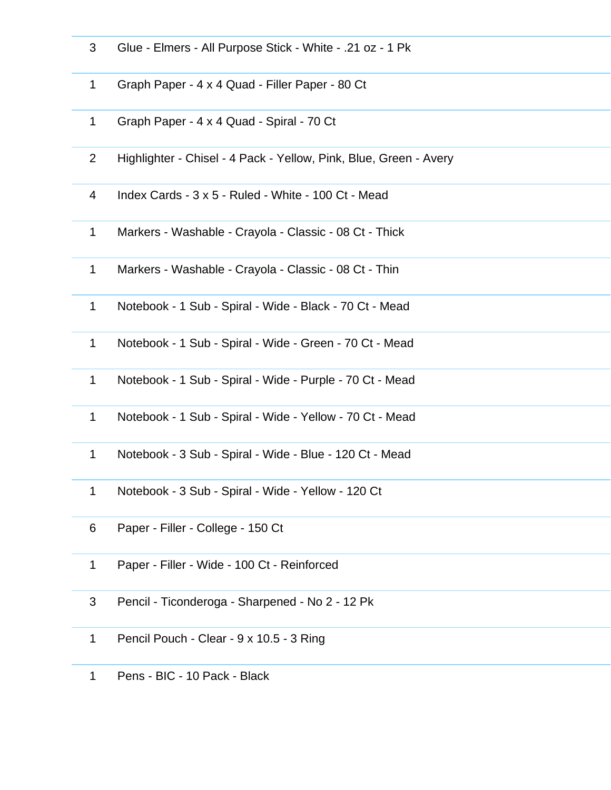- Glue Elmers All Purpose Stick White .21 oz 1 Pk
- Graph Paper 4 x 4 Quad Filler Paper 80 Ct
- Graph Paper 4 x 4 Quad Spiral 70 Ct
- Highlighter Chisel 4 Pack Yellow, Pink, Blue, Green Avery
- Index Cards 3 x 5 Ruled White 100 Ct Mead
- Markers Washable Crayola Classic 08 Ct Thick
- Markers Washable Crayola Classic 08 Ct Thin
- Notebook 1 Sub Spiral Wide Black 70 Ct Mead
- Notebook 1 Sub Spiral Wide Green 70 Ct Mead
- Notebook 1 Sub Spiral Wide Purple 70 Ct Mead
- Notebook 1 Sub Spiral Wide Yellow 70 Ct Mead
- Notebook 3 Sub Spiral Wide Blue 120 Ct Mead
- Notebook 3 Sub Spiral Wide Yellow 120 Ct
- Paper Filler College 150 Ct
- Paper Filler Wide 100 Ct Reinforced
- Pencil Ticonderoga Sharpened No 2 12 Pk
- Pencil Pouch Clear 9 x 10.5 3 Ring
- Pens BIC 10 Pack Black